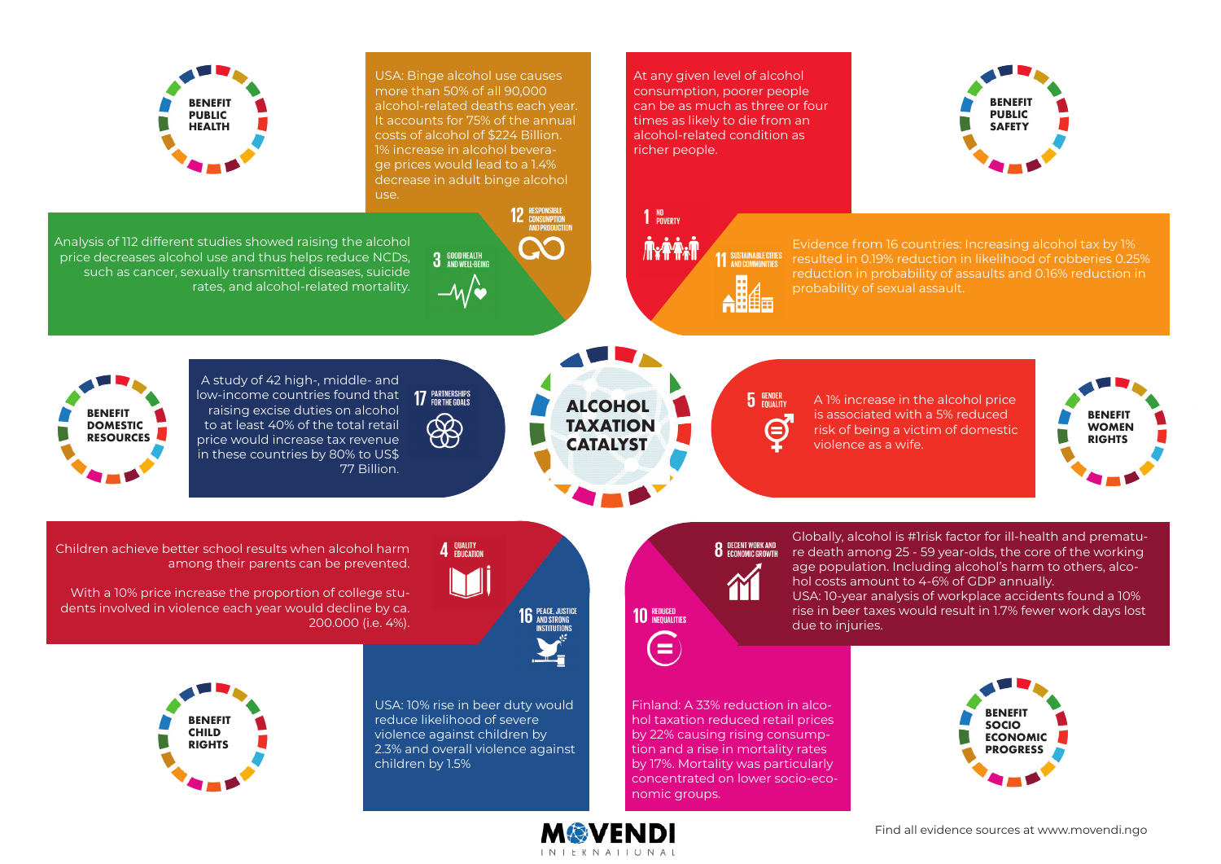

USA: Binge alcohol use causes more than 50% of all 90,000 alcohol-related deaths each year. It accounts for 75% of the annual costs of alcohol of \$224 Billion. 1% increase in alcohol beverage prices would lead to a 1.4% decrease in adult binge alcohol use.

**3** GOOD HEALTH

 $-\mathcal{W}$ 

 $\infty$ 

Analysis of 112 different studies showed raising the alcohol price decreases alcohol use and thus helps reduce NCDs, such as cancer, sexually transmitted diseases, suicide rates, and alcohol-related mortality.

At any given level of alcohol consumption, poorer people can be as much as three or four times as likely to die from an alcohol-related condition as richer people.

**11 SUSTAINABLE CITIES** 



Evidence from 16 countries: Increasing alcohol tax by 1% resulted in 0.19% reduction in likelihood of robberies 0.25% reduction in probability of assaults and 0.16% reduction in probability of sexual assault.

A study of 42 high-, middle- and low-income countries found that raising excise duties on alcohol to at least 40% of the total retail price would increase tax revenue in these countries by 80% to US\$



**17 PARTNERSHIPS**  $\bigcircledast$ 77 Billion.

**ALCOHOL TAXATION CATALYST**

**M&VENDI** 

 $1<sup>NO</sup>$  poverty

**A** THE

**5** GENDER  $\boldsymbol{\Theta}$ 

A 1% increase in the alcohol price is associated with a 5% reduced risk of being a victim of domestic violence as a wife.



Children achieve better school results when alcohol harm among their parents can be prevented.

With a 10% price increase the proportion of college students involved in violence each year would decline by ca. 200.000 (i.e. 4%).





USA: 10% rise in beer duty would reduce likelihood of severe violence against children by 2.3% and overall violence against children by 1.5%

**8** DECENT WORK AND **10 REDUCED** E)

Globally, alcohol is #1risk factor for ill-health and premature death among 25 - 59 year-olds, the core of the working age population. Including alcohol's harm to others, alcohol costs amount to 4-6% of GDP annually. USA: 10-year analysis of workplace accidents found a 10%

rise in beer taxes would result in 1.7% fewer work days lost due to injuries.

Finland: A 33% reduction in alcohol taxation reduced retail prices by 22% causing rising consumption and a rise in mortality rates by 17%. Mortality was particularly concentrated on lower socio-economic groups.